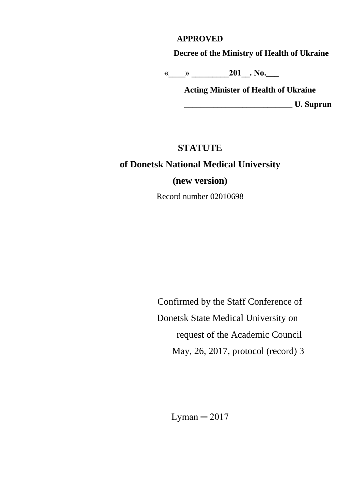### **APPROVED**

**Decree of the Ministry of Health of Ukraine**

 **«\_\_\_\_» \_\_\_\_\_\_\_\_\_201\_\_. No.\_\_\_**

**Acting Minister of Health of Ukraine \_\_\_\_\_\_\_\_\_\_\_\_\_\_\_\_\_\_\_\_\_\_\_\_\_\_ U. Suprun**

### **STATUTE**

### **of Donetsk National Medical University**

**(new version)**

Record number 02010698

 Confirmed by the Staff Conference of Donetsk State Medical University on request of the Academic Council May, 26, 2017, protocol (record) 3

Lyman  $-2017$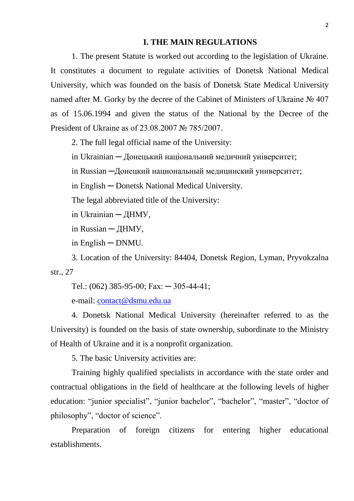#### **I. THE MAIN REGULATIONS**

1. The present Statute is worked out according to the legislation of Ukraine. It constitutes a document to regulate activities of Donetsk National Medical University, which was founded on the basis of Donetsk State Medical University named after M. Gorky by the decree of the Cabinet of Ministers of Ukraine № 407 as of 15.06.1994 and given the status of the National by the Decree of the President of Ukraine as of 23.08.2007 № 785/2007.

2. The full legal official name of the University:

in Ukrainian ─ Донецький національний медичний університет;

in Russian ─Донецкий национальный медицинский университет;

in English ─ Donetsk National Medical University.

The legal abbreviated title of the University:

in Ukrainian ─ ДНМУ,

in Russian ─ ДНМУ,

in English ─ DNMU.

3. Location of the University: 84404, Donetsk Region, Lyman, Pryvokzalna str., 27

Tel.: (062) 385-95-00; Fax: ─ 305-44-41;

e-mail: [contact@dsmu.edu.ua](mailto:contact@dsmu.edu.ua)

4. Donetsk National Medical University (hereinafter referred to as the University) is founded on the basis of state ownership, subordinate to the Ministry of Health of Ukraine and it is a nonprofit organization.

5. The basic University activities are:

Training highly qualified specialists in accordance with the state order and contractual obligations in the field of healthcare at the following levels of higher education: "junior specialist", "junior bachelor", "bachelor", "master", "doctor of philosophy", "doctor of science".

Preparation of foreign citizens for entering higher educational establishments.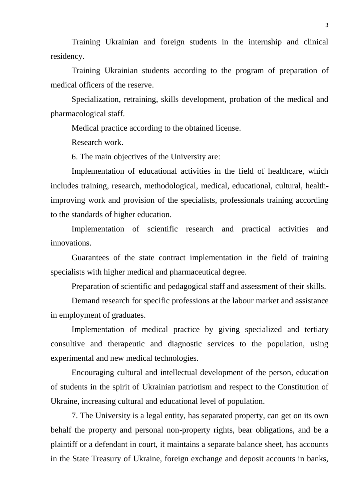Training Ukrainian and foreign students in the internship and clinical residency.

Training Ukrainian students according to the program of preparation of medical officers of the reserve.

Specialization, retraining, skills development, probation of the medical and pharmacological staff.

Medical practice according to the obtained license.

Research work.

6. The main objectives of the University are:

Implementation of educational activities in the field of healthcare, which includes training, research, methodological, medical, educational, cultural, healthimproving work and provision of the specialists, professionals training according to the standards of higher education.

Implementation of scientific research and practical activities and innovations.

Guarantees of the state contract implementation in the field of training specialists with higher medical and pharmaceutical degree.

Preparation of scientific and pedagogical staff and assessment of their skills.

Demand research for specific professions at the labour market and assistance in employment of graduates.

Implementation of medical practice by giving specialized and tertiary consultive and therapeutic and diagnostic services to the population, using experimental and new medical technologies.

Encouraging cultural and intellectual development of the person, education of students in the spirit of Ukrainian patriotism and respect to the Constitution of Ukraine, increasing cultural and educational level of population.

7. The University is a legal entity, has separated property, can get on its own behalf the property and personal non-property rights, bear obligations, and be a plaintiff or a defendant in court, it maintains a separate balance sheet, has accounts in the State Treasury of Ukraine, foreign exchange and deposit accounts in banks,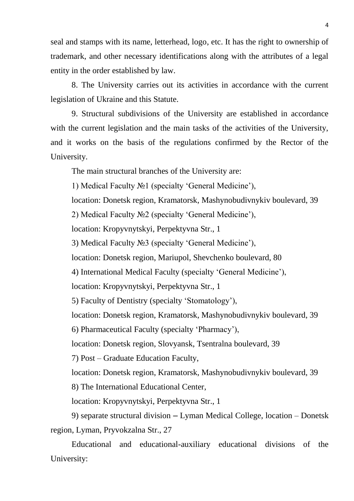seal and stamps with its name, letterhead, logo, etc. It has the right to ownership of trademark, and other necessary identifications along with the attributes of a legal entity in the order established by law.

8. The University carries out its activities in accordance with the current legislation of Ukraine and this Statute.

9. Structural subdivisions of the University are established in accordance with the current legislation and the main tasks of the activities of the University, and it works on the basis of the regulations confirmed by the Rector of the University.

The main structural branches of the University are:

1) Medical Faculty №1 (specialty 'General Medicine'),

location: Donetsk region, Kramatorsk, Mashynobudivnykiv boulevard, 39

2) Medical Faculty №2 (specialty 'General Medicine'),

location: Kropyvnytskyi, Perpektyvna Str., 1

3) Medical Faculty №3 (specialty 'General Medicine'),

location: Donetsk region, Mariupol, Shevchenko boulevard, 80

4) International Medical Faculty (specialty 'General Medicine'),

location: Kropyvnytskyi, Perpektyvna Str., 1

5) Faculty of Dentistry (specialty 'Stomatology'),

location: Donetsk region, Kramatorsk, Mashynobudivnykiv boulevard, 39

6) Pharmaceutical Faculty (specialty 'Pharmacy'),

location: Donetsk region, Slovyansk, Tsentralna boulevard, 39

7) Post – Graduate Education Faculty,

location: Donetsk region, Kramatorsk, Mashynobudivnykiv boulevard, 39

8) The International Educational Center,

location: Kropyvnytskyi, Perpektyvna Str., 1

9) separate structural division – Lyman Medical College, location – Donetsk region, Lyman, Pryvokzalna Str., 27

Educational and educational-auxiliary educational divisions of the University: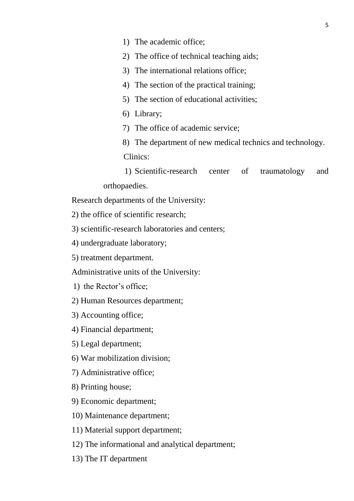- 1) The academic office;
- 2) The office of technical teaching aids;
- 3) The international relations office;
- 4) The section of the practical training;
- 5) The section of educational activities;
- 6) Library;
- 7) The office of academic service;
- 8) The department of new medical technics and technology. Clinics:

1) Scientific-research center of traumatology and orthopaedies.

Research departments of the University:

2) the office of scientific research;

3) scientific-research laboratories and centers;

- 4) undergraduate laboratory;
- 5) treatment department.

Administrative units of the University:

- 1) the Rector's office;
- 2) Human Resources department;
- 3) Accounting office;
- 4) Financial department;
- 5) Legal department;
- 6) War mobilization division;
- 7) Administrative office;
- 8) Printing house;
- 9) Economic department;
- 10) Maintenance department;
- 11) Material support department;
- 12) The informational and analytical department;
- 13) The IT department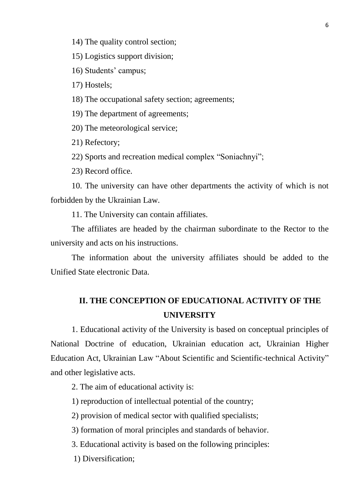14) The quality control section;

15) Logistics support division;

16) Students' campus;

17) Hostels;

18) The occupational safety section; agreements;

19) The department of agreements;

20) The meteorological service;

21) Refectory;

22) Sports and recreation medical complex "Soniachnyi";

23) Record office.

10. The university can have other departments the activity of which is not forbidden by the Ukrainian Law.

11. The University can contain affiliates.

The affiliates are headed by the chairman subordinate to the Rector to the university and acts on his instructions.

The information about the university affiliates should be added to the Unified State electronic Data.

# **II. THE CONCEPTION OF EDUCATIONAL ACTIVITY OF THE UNIVERSITY**

1. Educational activity of the University is based on conceptual principles of National Doctrine of education, Ukrainian education act, Ukrainian [Higher](file:///D:/Documents%20and%20Settings/Ville/Local%20Settings/Temp/Word_0)  [Education Act,](file:///D:/Documents%20and%20Settings/Ville/Local%20Settings/Temp/Word_0) Ukrainian Law "About Scientific and Scientific-technical Activity" and other legislative acts.

2. The aim of educational activity is:

1) reproduction of intellectual potential of the country;

2) provision of medical sector with qualified specialists;

3) formation of moral principles and standards of behavior.

3. Educational activity is based on the following principles:

1) Diversification;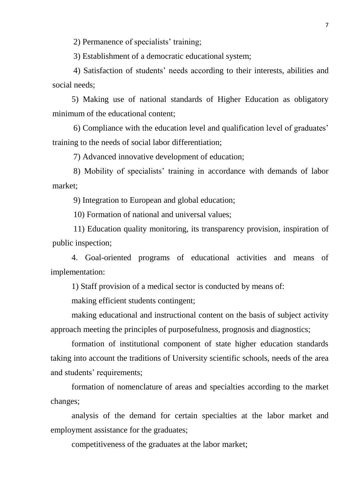2) Permanence of specialists' training;

3) Establishment of a democratic educational system;

4) Satisfaction of students' needs according to their interests, abilities and social needs;

5) Making use of national standards of Higher Education as obligatory minimum of the educational content;

6) Compliance with the education level and qualification level of graduates' training to the needs of social labor differentiation;

7) Advanced innovative development of education;

8) Mobility of specialists' training in accordance with demands of labor market;

9) Integration to European and global education;

10) Formation of national and universal values;

11) Education quality monitoring, its transparency provision, inspiration of public inspection;

4. Goal-oriented programs of educational activities and means of implementation:

1) Staff provision of a medical sector is conducted by means of:

making efficient students contingent;

making educational and instructional content on the basis of subject [activity](file:///D:/Documents%20and%20Settings/Ville/Local%20Settings/Temp/Word_0) [approach](file:///D:/Documents%20and%20Settings/Ville/Local%20Settings/Temp/Word_0) meeting the principles of purposefulness, prognosis and diagnostics;

formation of institutional component of state higher education standards taking into account the traditions of University scientific schools, needs of the area and students' requirements;

formation of nomenclature of areas and specialties according to the market changes;

analysis of the demand for certain specialties at the labor market and employment assistance for the graduates;

competitiveness of the graduates at the labor market;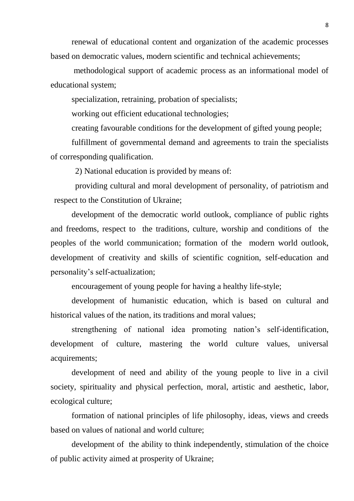renewal of educational content and organization of the academic processes based on democratic values, modern scientific and technical achievements;

methodological support of academic process as an informational model of educational system;

specialization, retraining, probation of specialists;

working out efficient educational technologies;

creating favourable conditions for the development of gifted young people;

fulfillment of governmental demand and agreements to train the specialists of corresponding qualification.

2) National education is provided by means of:

providing cultural and moral development of personality, of patriotism and respect to the Constitution of Ukraine;

development of the democratic world outlook, compliance of public rights and freedoms, respect to the traditions, culture, worship and conditions of the peoples of the world communication; formation of the modern world outlook, development of creativity and skills of scientific cognition, self-education and personality's self-actualization;

encouragement of young people for having a healthy life-style;

development of [humanistic](file:///D:/Documents%20and%20Settings/Ville/Local%20Settings/Temp/Word_2) education, which is based on cultural and historical values of the nation, its traditions and moral values;

strengthening of national idea promoting nation's self-identification, development of culture, mastering the world culture values, universal acquirements;

development of need and ability of the young people to live in a civil society, spirituality and physical perfection, moral, artistic and aesthetic, labor, ecological culture;

formation of national principles of life philosophy, ideas, views and creeds based on values of national and world culture;

development of the ability to think independently, stimulation of the choice of public activity aimed at prosperity of Ukraine;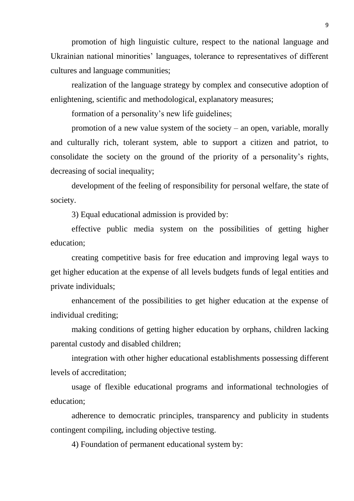promotion of high linguistic culture, respect to the national language and Ukrainian national minorities' languages, tolerance to representatives of different cultures and language communities;

realization of the language strategy by complex and consecutive adoption of enlightening, scientific and methodological, explanatory measures;

formation of a personality's new life guidelines;

promotion of a new value system of the society – an open, variable, morally and culturally rich, tolerant system, able to support a citizen and patriot, to consolidate the society on the ground of the priority of a personality's rights, decreasing of social inequality;

development of the feeling of responsibility for personal welfare, the state of society.

3) Equal educational admission is provided by:

effective public media system on the possibilities of getting higher education;

creating competitive basis for free education and improving legal ways to get higher education at the expense of all levels budgets funds of legal entities and private individuals;

enhancement of the possibilities to get higher education at the expense of individual crediting;

making conditions of getting higher education by orphans, children lacking parental custody and disabled children;

integration with other higher educational establishments possessing different levels of accreditation;

usage of flexible educational programs and informational technologies of education;

adherence to democratic principles, transparency and publicity in students contingent compiling, including objective testing.

4) Foundation of permanent educational system by: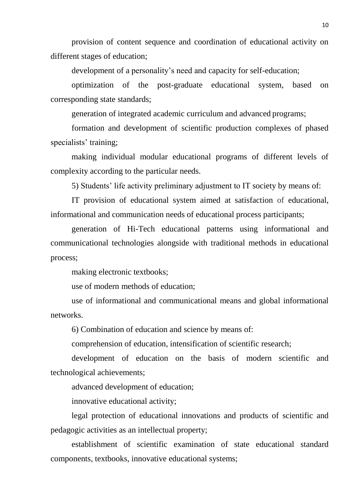provision of content sequence and coordination of educational activity on different stages of education;

development of a personality's need and capacity for self-education;

optimization of the post-graduate educational system, based on corresponding state standards;

generation of integrated [academic curriculum](file:///D:/Documents%20and%20Settings/Ville/Local%20Settings/Temp/Word_0) and [advanced](file:///D:/Documents%20and%20Settings/Ville/Local%20Settings/Temp/Word_0) programs;

formation and development of [scientific production c](file:///D:/Documents%20and%20Settings/Ville/Local%20Settings/Temp/Word_1)omplexes of phased specialists' training;

making individual modular educational programs of different levels of complexity according to the particular needs.

5) Students' life activity preliminary adjustment to IT society by means of:

IT provision of educational system aimed at satisfaction of educational, informational and communication needs of educational process participants;

generation of Hi-Tech educational patterns using informational and communicational technologies alongside with traditional methods in educational process;

making electronic textbooks;

use of modern methods of education;

use of informational and communicational means and global informational networks.

6) Combination of education and science by means of:

comprehension of education, intensification of scientific research;

development of education on the basis of modern scientific and technological achievements;

advanced development of education;

innovative educational activity;

legal protection of educational innovations and products of scientific and pedagogic activities as an intellectual property;

establishment of scientific examination of state educational standard components, textbooks, innovative educational systems;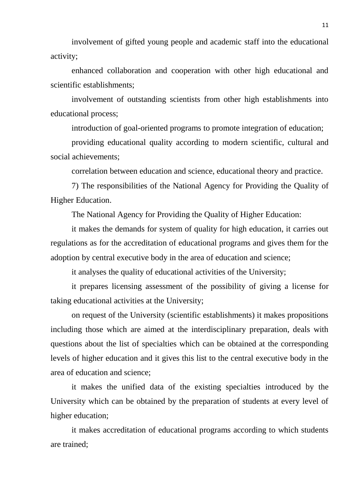involvement of gifted young people and academic staff into the educational activity;

enhanced collaboration and cooperation with other high educational and scientific establishments;

involvement of outstanding scientists from other high establishments into educational process;

introduction of goal-oriented programs to promote integration of education;

providing educational quality according to modern scientific, cultural and social achievements;

correlation between education and science, educational theory and practice.

7) The responsibilities of the National Agency for Providing the Quality of Higher Education.

The National Agency for Providing the Quality of Higher Education:

it makes the demands for system of quality for high education, it carries out regulations as for the accreditation of educational programs and gives them for the adoption by central executive body in the area of education and science;

it analyses the quality of educational activities of the University;

it prepares licensing assessment of the possibility of giving a license for taking educational activities at the University;

on request of the University (scientific establishments) it makes propositions including those which are aimed at the interdisciplinary preparation, deals with questions about the list of specialties which can be obtained at the corresponding levels of higher education and it gives this list to the central executive body in the area of education and science;

it makes the unified data of the existing specialties introduced by the University which can be obtained by the preparation of students at every level of higher education;

it makes accreditation of educational programs according to which students are trained;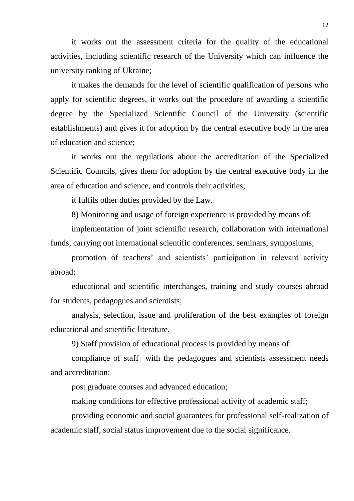it works out the assessment criteria for the quality of the educational activities, including scientific research of the University which can influence the university ranking of Ukraine;

it makes the demands for the level of scientific qualification of persons who apply for scientific degrees, it works out the procedure of awarding a scientific degree by the Specialized Scientific Council of the University (scientific establishments) and gives it for adoption by the central executive body in the area of education and science;

it works out the regulations about the accreditation of the Specialized Scientific Councils, gives them for adoption by the central executive body in the area of education and science, and controls their activities;

it fulfils other duties provided by the Law.

8) Monitoring and usage of foreign experience is provided by means of:

implementation of joint scientific research, collaboration with international funds, carrying out international scientific conferences, seminars, symposiums;

promotion of teachers' and scientists' participation in relevant activity abroad;

educational and scientific interchanges, training and study courses abroad for students, pedagogues and scientists;

analysis, selection, issue and proliferation of the best examples of foreign educational and scientific literature.

9) Staff provision of educational process is provided by means of:

compliance of staff with the pedagogues and scientists assessment needs and accreditation;

post graduate courses and advanced education;

making conditions for effective professional activity of academic staff;

providing economic and social guarantees for professional self-realization of academic staff, social status improvement due to the social significance.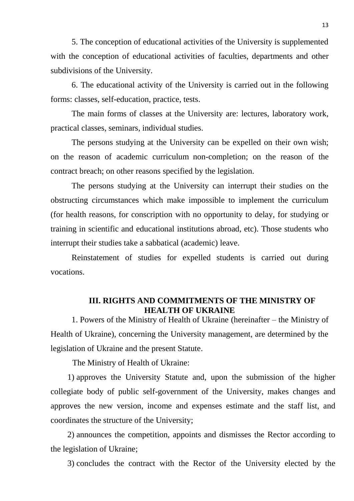5. The conception of educational activities of the University is supplemented with the conception of educational activities of faculties, departments and other subdivisions of the University.

6. The educational activity of the University is carried out in the following forms: classes, self-education, practice, tests.

The main forms of classes at the University are: lectures, laboratory work, practical classes, seminars, individual studies.

The persons studying at the University can be expelled on their own wish; on the reason of [academic curriculum](file:///D:/Documents%20and%20Settings/Ville/Local%20Settings/Temp/Word_0) non-completion; on the reason of the contract breach; on other reasons specified by the legislation.

The persons studying at the University can interrupt their studies on the obstructing circumstances which make impossible to implement the curriculum (for health reasons, for conscription with no opportunity to delay, for studying or training in scientific and educational institutions abroad, etc). Those students who interrupt their studies take a sabbatical (academic) leave.

Reinstatement of studies for expelled students is carried out during vocations.

#### **III. RIGHTS AND COMMITMENTS OF THE MINISTRY OF HEALTH OF UKRAINE**

1. Powers of the Ministry of Health of Ukraine (hereinafter – the Ministry of Health of Ukraine), concerning the University management, are determined by the legislation of Ukraine and the present Statute.

The Ministry of Health of Ukraine:

1) approves the University Statute and, upon the submission of the higher collegiate body of public self-government of the University, makes changes and approves the new version, income and expenses estimate and the staff list, and coordinates the structure of the University;

2) announces the competition, appoints and dismisses the Rector according to the legislation of Ukraine;

3) concludes the contract with the Rector of the University elected by the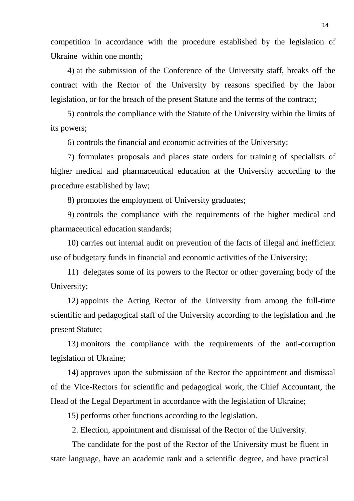competition in accordance with the procedure established by the legislation of Ukraine within one month;

4) at the submission of the Conference of the University staff, breaks off the contract with the Rector of the University by reasons specified by the labor legislation, or for the breach of the present Statute and the terms of the contract;

5) controls the compliance with the Statute of the University within the limits of its powers;

6) controls the financial and economic activities of the University;

7) formulates proposals and places state orders for training of specialists of higher medical and pharmaceutical education at the University according to the procedure established by law;

8) promotes the employment of University graduates;

9) controls the compliance with the requirements of the higher medical and pharmaceutical education standards;

10) carries out internal audit on prevention of the facts of illegal and inefficient use of budgetary funds in financial and economic activities of the University;

11) delegates some of its powers to the Rector or other governing body of the University;

12) appoints the Acting Rector of the University from among the full-time scientific and pedagogical staff of the University according to the legislation and the present Statute;

13) monitors the compliance with the requirements of the anti-corruption legislation of Ukraine;

14) approves upon the submission of the Rector the appointment and dismissal of the Vice-Rectors for scientific and pedagogical work, the Chief Accountant, the Head of the Legal Department in accordance with the legislation of Ukraine;

15) performs other functions according to the legislation.

2. Election, appointment and dismissal of the Rector of the University.

The candidate for the post of the Rector of the University must be fluent in state language, have an academic rank and a scientific degree, and have practical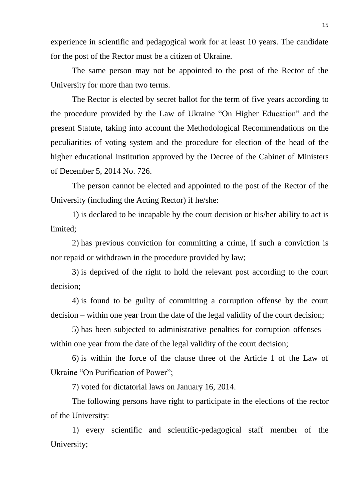experience in scientific and pedagogical work for at least 10 years. The candidate for the post of the Rector must be a citizen of Ukraine.

The same person may not be appointed to the post of the Rector of the University for more than two terms.

The Rector is elected by secret ballot for the term of five years according to the procedure provided by the Law of Ukraine "On Higher Education" and the present Statute, taking into account the Methodological Recommendations on the peculiarities of voting system and the procedure for election of the head of the higher educational institution approved by the Decree of the Cabinet of Ministers of December 5, 2014 No. 726.

The person cannot be elected and appointed to the post of the Rector of the University (including the Acting Rector) if he/she:

1) is declared to be incapable by the court decision or his/her ability to act is limited;

2) has previous conviction for committing a crime, if such a conviction is nor repaid or withdrawn in the procedure provided by law;

3) is deprived of the right to hold the relevant post according to the court decision;

4) is found to be guilty of committing a corruption offense by the court decision – within one year from the date of the legal validity of the court decision;

5) has been subjected to administrative penalties for corruption offenses – within one year from the date of the legal validity of the court decision;

6) is within the force of the clause three of the Article 1 of the Law of Ukraine "On Purification of Power";

7) voted for dictatorial laws on January 16, 2014.

The following persons have right to participate in the elections of the rector of the University:

1) every scientific and scientific-pedagogical staff member of the University;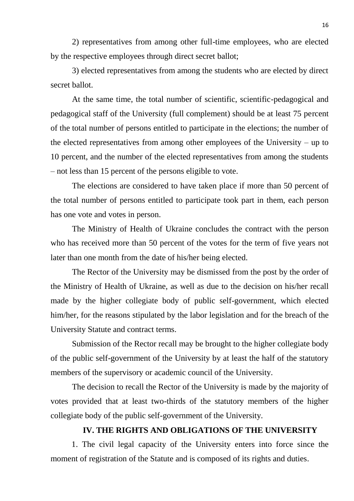2) representatives from among other full-time employees, who are elected by the respective employees through direct secret ballot;

3) elected representatives from among the students who are elected by direct secret ballot.

At the same time, the total number of scientific, scientific-pedagogical and pedagogical staff of the University (full complement) should be at least 75 percent of the total number of persons entitled to participate in the elections; the number of the elected representatives from among other employees of the University – up to 10 percent, and the number of the elected representatives from among the students – not less than 15 percent of the persons eligible to vote.

The elections are considered to have taken place if more than 50 percent of the total number of persons entitled to participate took part in them, each person has one vote and votes in person.

The Ministry of Health of Ukraine concludes the contract with the person who has received more than 50 percent of the votes for the term of five years not later than one month from the date of his/her being elected.

The Rector of the University may be dismissed from the post by the order of the Ministry of Health of Ukraine, as well as due to the decision on his/her recall made by the higher collegiate body of public self-government, which elected him/her, for the reasons stipulated by the labor legislation and for the breach of the University Statute and contract terms.

Submission of the Rector recall may be brought to the higher collegiate body of the public self-government of the University by at least the half of the statutory members of the supervisory or academic council of the University.

The decision to recall the Rector of the University is made by the majority of votes provided that at least two-thirds of the statutory members of the higher collegiate body of the public self-government of the University.

#### **IV. THE RIGHTS AND OBLIGATIONS OF THE UNIVERSITY**

1. The civil legal capacity of the University enters into force since the moment of registration of the Statute and is composed of its rights and duties.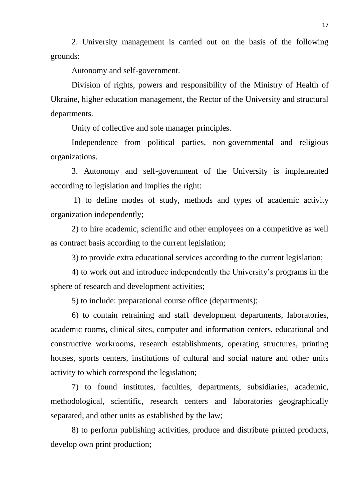2. University management is carried out on the basis of the following grounds:

Autonomy and self-government.

Division of rights, powers and responsibility of the Ministry of Health of Ukraine, higher education management, the Rector of the University and structural departments.

Unity of collective and sole manager principles.

Independence from political parties, non-governmental and religious organizations.

3. Autonomy and self-government of the University is implemented according to legislation and implies the right:

1) to define modes of study, methods and types of academic activity organization independently;

2) to hire academic, scientific and other employees on a competitive as well as contract basis according to the current legislation;

3) to provide extra educational services according to the current legislation;

4) to work out and introduce independently the University's programs in the sphere of research and development activities;

5) to include: preparational course office (departments);

6) to contain retraining and staff development departments, laboratories, academic rooms, clinical sites, computer and information centers, educational and constructive workrooms, research establishments, operating structures, printing houses, sports centers, institutions of cultural and social nature and other units activity to which correspond the legislation;

7) to found institutes, faculties, departments, subsidiaries, academic, methodological, scientific, research centers and laboratories geographically separated, and other units as established by the law;

8) to perform publishing activities, produce and distribute printed products, develop own print production;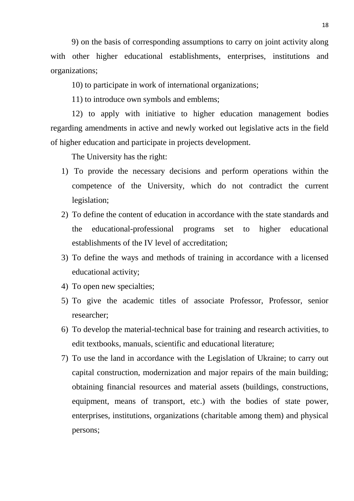9) on the basis of corresponding assumptions to carry on joint activity along with other higher educational establishments, enterprises, institutions and organizations;

10) to participate in work of international organizations;

11) to introduce own symbols and emblems;

12) to apply with initiative to higher education management bodies regarding amendments in active and newly worked out legislative acts in the field of higher education and participate in projects development.

The University has the right:

- 1) To provide the necessary decisions and perform operations within the competence of the University, which do not contradict the current legislation;
- 2) To define the content of education in accordance with the state standards and the educational-professional programs set to higher educational establishments of the IV level of accreditation;
- 3) To define the ways and methods of training in accordance with a licensed educational activity;
- 4) To open new specialties;
- 5) To give the academic titles of associate Professor, Professor, senior researcher;
- 6) To develop the material-technical base for training and research activities, to edit textbooks, manuals, scientific and educational literature;
- 7) To use the land in accordance with the Legislation of Ukraine; to carry out capital construction, modernization and major repairs of the main building; obtaining financial resources and material assets (buildings, constructions, equipment, means of transport, etc.) with the bodies of state power, enterprises, institutions, organizations (charitable among them) and physical persons;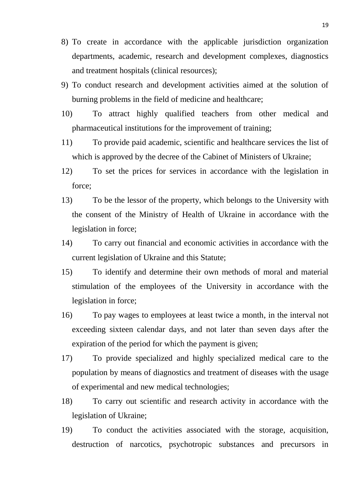- 8) To create in accordance with the applicable jurisdiction organization departments, academic, research and development complexes, diagnostics and treatment hospitals (clinical resources);
- 9) To conduct research and development activities aimed at the solution of burning problems in the field of medicine and healthcare;
- 10) To attract highly qualified teachers from other medical and pharmaceutical institutions for the improvement of training;
- 11) To provide paid academic, scientific and healthcare services the list of which is approved by the decree of the Cabinet of Ministers of Ukraine;
- 12) To set the prices for services in accordance with the legislation in force;
- 13) To be the lessor of the property, which belongs to the University with the consent of the Ministry of Health of Ukraine in accordance with the legislation in force;
- 14) To carry out financial and economic activities in accordance with the current legislation of Ukraine and this Statute;
- 15) To identify and determine their own methods of moral and material stimulation of the employees of the University in accordance with the legislation in force;
- 16) To pay wages to employees at least twice a month, in the interval not exceeding sixteen calendar days, and not later than seven days after the expiration of the period for which the payment is given;
- 17) To provide specialized and highly specialized medical care to the population by means of diagnostics and treatment of diseases with the usage of experimental and new medical technologies;
- 18) To carry out scientific and research activity in accordance with the legislation of Ukraine;
- 19) To conduct the activities associated with the storage, acquisition, destruction of narcotics, psychotropic substances and precursors in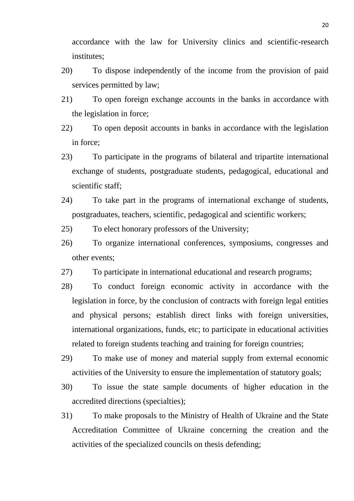accordance with the law for University clinics and scientific-research institutes;

- 20) To dispose independently of the income from the provision of paid services permitted by law;
- 21) To open foreign exchange accounts in the banks in accordance with the legislation in force;
- 22) To open deposit accounts in banks in accordance with the legislation in force;
- 23) To participate in the programs of bilateral and tripartite international exchange of students, postgraduate students, pedagogical, educational and scientific staff:
- 24) To take part in the programs of international exchange of students, postgraduates, teachers, scientific, pedagogical and scientific workers;
- 25) To elect honorary professors of the University;
- 26) To organize international conferences, symposiums, congresses and other events;
- 27) To participate in international educational and research programs;
- 28) To conduct foreign economic activity in accordance with the legislation in force, by the conclusion of contracts with foreign legal entities and physical persons; establish direct links with foreign universities, international organizations, funds, etc; to participate in educational activities related to foreign students teaching and training for foreign countries;
- 29) To make use of money and material supply from external economic activities of the University to ensure the implementation of statutory goals;
- 30) To issue the state sample documents of higher education in the accredited directions (specialties);
- 31) To make proposals to the Ministry of Health of Ukraine and the State Accreditation Committee of Ukraine concerning the creation and the activities of the specialized councils on thesis defending;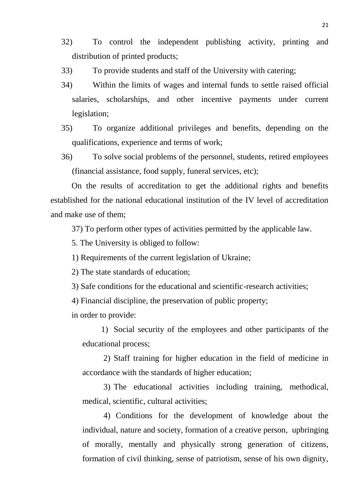- 32) To control the independent publishing activity, printing and distribution of printed products;
- 33) To provide students and staff of the University with catering;
- 34) Within the limits of wages and internal funds to settle raised official salaries, scholarships, and other incentive payments under current legislation;
- 35) To organize additional privileges and benefits, depending on the qualifications, experience and terms of work;
- 36) To solve social problems of the personnel, students, retired employees (financial assistance, food supply, funeral services, etc);

On the results of accreditation to get the additional rights and benefits established for the national educational institution of the IV level of accreditation and make use of them;

37) To perform other types of activities permitted by the applicable law.

5. The University is obliged to follow:

1) Requirements of the current legislation of Ukraine;

2) The state standards of education;

3) Safe conditions for the educational and scientific-research activities;

4) Financial discipline, the preservation of public property;

in order to provide:

1) Social security of the employees and other participants of the educational process;

2) Staff training for higher education in the field of medicine in accordance with the standards of higher education;

3) The educational activities including training, methodical, medical, scientific, cultural activities;

4) Conditions for the development of knowledge about the individual, nature and society, formation of a creative person, upbringing of morally, mentally and physically strong generation of citizens, formation of civil thinking, sense of patriotism, sense of his own dignity,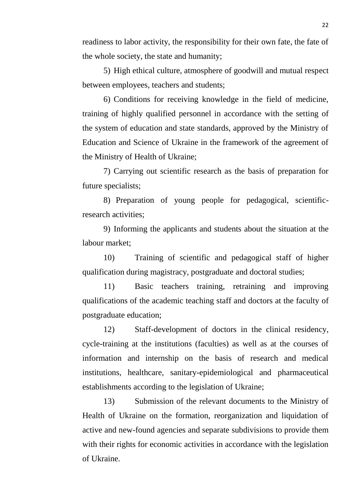readiness to labor activity, the responsibility for their own fate, the fate of the whole society, the state and humanity;

5) High ethical culture, atmosphere of goodwill and mutual respect between employees, teachers and students;

6) Conditions for receiving knowledge in the field of medicine, training of highly qualified personnel in accordance with the setting of the system of education and state standards, approved by the Ministry of Education and Science of Ukraine in the framework of the agreement of the Ministry of Health of Ukraine;

7) Carrying out scientific research as the basis of preparation for future specialists;

8) Preparation of young people for pedagogical, scientificresearch activities;

9) Informing the applicants and students about the situation at the labour market;

10) Training of scientific and pedagogical staff of higher qualification during magistracy, postgraduate and doctoral studies;

11) Basic teachers training, retraining and improving qualifications of the academic teaching staff and doctors at the faculty of postgraduate education;

12) Staff-development of doctors in the clinical residency, cycle-training at the institutions (faculties) as well as at the courses of information and internship on the basis of research and medical institutions, healthcare, sanitary-epidemiological and pharmaceutical establishments according to the legislation of Ukraine;

13) Submission of the relevant documents to the Ministry of Health of Ukraine on the formation, reorganization and liquidation of active and new-found agencies and separate subdivisions to provide them with their rights for economic activities in accordance with the legislation of Ukraine.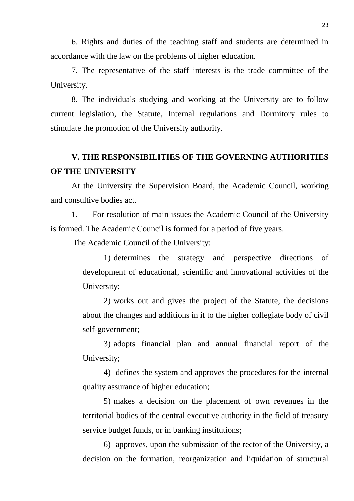6. Rights and duties of the teaching staff and students are determined in accordance with the law on the problems of higher education.

7. The representative of the staff interests is the trade committee of the University.

8. The individuals studying and working at the University are to follow current legislation, the Statute, Internal regulations and Dormitory rules to stimulate the promotion of the University authority.

## **V. THE RESPONSIBILITIES OF THE GOVERNING AUTHORITIES OF THE UNIVERSITY**

At the University the Supervision Board, the Academic Council, working and consultive bodies act.

1. For resolution of main issues the Academic Council of the University is formed. The Academic Council is formed for a period of five years.

The Academic Council of the University:

1) determines the strategy and perspective directions of development of educational, scientific and innovational activities of the University;

2) works out and gives the project of the Statute, the decisions about the changes and additions in it to the higher collegiate body of civil self-government;

3) adopts financial plan and annual financial report of the University;

4) defines the system and approves the procedures for the internal quality assurance of higher education;

5) makes a decision on the placement of own revenues in the territorial bodies of the central executive authority in the field of treasury service budget funds, or in banking institutions;

6) approves, upon the submission of the rector of the University, a decision on the formation, reorganization and liquidation of structural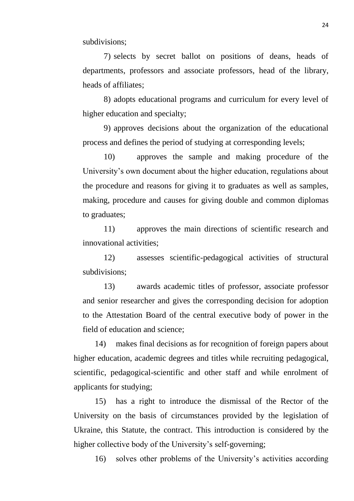subdivisions;

7) selects by secret ballot on positions of deans, heads of departments, professors and associate professors, head of the library, heads of affiliates;

8) adopts educational programs and curriculum for every level of higher education and specialty;

9) approves decisions about the organization of the educational process and defines the period of studying at corresponding levels;

10) approves the sample and making procedure of the University's own document about the higher education, regulations about the procedure and reasons for giving it to graduates as well as samples, making, procedure and causes for giving double and common diplomas to graduates;

11) approves the main directions of scientific research and innovational activities;

12) assesses scientific-pedagogical activities of structural subdivisions;

13) awards academic titles of professor, associate professor and senior researcher and gives the corresponding decision for adoption to the Attestation Board of the central executive body of power in the field of education and science;

14) makes final decisions as for recognition of foreign papers about higher education, academic degrees and titles while recruiting pedagogical, scientific, pedagogical-scientific and other staff and while enrolment of applicants for studying;

15) has a right to introduce the dismissal of the Rector of the University on the basis of circumstances provided by the legislation of Ukraine, this Statute, the contract. This introduction is considered by the higher collective body of the University's self-governing;

16) solves other problems of the University's activities according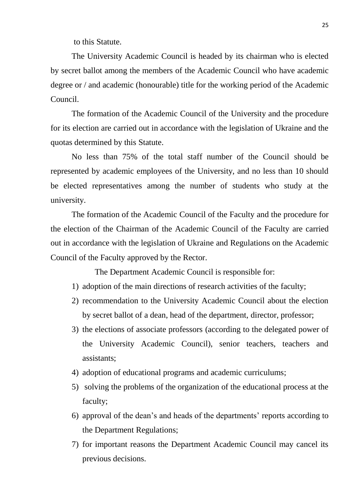to this Statute.

The University Academic Council is headed by its chairman who is elected by secret ballot among the members of the Academic Council who have academic degree or / and academic (honourable) title for the working period of the Academic Council.

The formation of the Academic Council of the University and the procedure for its election are carried out in accordance with the legislation of Ukraine and the quotas determined by this Statute.

No less than 75% of the total staff number of the Council should be represented by academic employees of the University, and no less than 10 should be elected representatives among the number of students who study at the university.

The formation of the Academic Council of the Faculty and the procedure for the election of the Chairman of the Academic Council of the Faculty are carried out in accordance with the legislation of Ukraine and Regulations on the Academic Council of the Faculty approved by the Rector.

The Department Academic Council is responsible for:

- 1) adoption of the main directions of research activities of the faculty;
- 2) recommendation to the University Academic Council about the election by secret ballot of a dean, head of the department, director, professor;
- 3) the elections of associate professors (according to the delegated power of the University Academic Council), senior teachers, teachers and assistants;
- 4) adoption of educational programs and academic curriculums;
- 5) solving the problems of the organization of the educational process at the faculty;
- 6) approval of the dean's and heads of the departments' reports according to the Department Regulations;
- 7) for important reasons the Department Academic Council may cancel its previous decisions.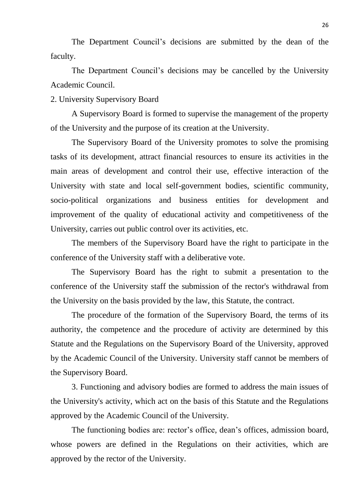The Department Council's decisions are submitted by the dean of the faculty.

The Department Council's decisions may be cancelled by the University Academic Council.

2. University Supervisory Board

A Supervisory Board is formed to supervise the management of the property of the University and the purpose of its creation at the University.

The Supervisory Board of the University promotes to solve the promising tasks of its development, attract financial resources to ensure its activities in the main areas of development and control their use, effective interaction of the University with state and local self-government bodies, scientific community, socio-political organizations and business entities for development and improvement of the quality of educational activity and competitiveness of the University, carries out public control over its activities, etc.

The members of the Supervisory Board have the right to participate in the conference of the University staff with a deliberative vote.

The Supervisory Board has the right to submit a presentation to the conference of the University staff the submission of the rector's withdrawal from the University on the basis provided by the law, this Statute, the contract.

The procedure of the formation of the Supervisory Board, the terms of its authority, the competence and the procedure of activity are determined by this Statute and the Regulations on the Supervisory Board of the University, approved by the Academic Council of the University. University staff cannot be members of the Supervisory Board.

3. Functioning and advisory bodies are formed to address the main issues of the University's activity, which act on the basis of this Statute and the Regulations approved by the Academic Council of the University.

The functioning bodies are: rector's office, dean's offices, admission board, whose powers are defined in the Regulations on their activities, which are approved by the rector of the University.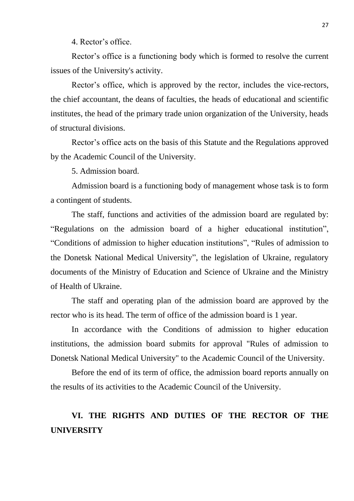4. Rector's office.

Rector's office is a functioning body which is formed to resolve the current issues of the University's activity.

Rector's office, which is approved by the rector, includes the vice-rectors, the chief accountant, the deans of faculties, the heads of educational and scientific institutes, the head of the primary trade union organization of the University, heads of structural divisions.

Rector's office acts on the basis of this Statute and the Regulations approved by the Academic Council of the University.

5. Admission board.

Admission board is a functioning body of management whose task is to form a contingent of students.

The staff, functions and activities of the admission board are regulated by: "Regulations on the admission board of a higher educational institution", "Conditions of admission to higher education institutions", "Rules of admission to the Donetsk National Medical University", the legislation of Ukraine, regulatory documents of the Ministry of Education and Science of Ukraine and the Ministry of Health of Ukraine.

The staff and operating plan of the admission board are approved by the rector who is its head. The term of office of the admission board is 1 year.

In accordance with the Conditions of admission to higher education institutions, the admission board submits for approval "Rules of admission to Donetsk National Medical University" to the Academic Council of the University.

Before the end of its term of office, the admission board reports annually on the results of its activities to the Academic Council of the University.

# **VI. THE RIGHTS AND DUTIES OF THE RECTOR OF THE UNIVERSITY**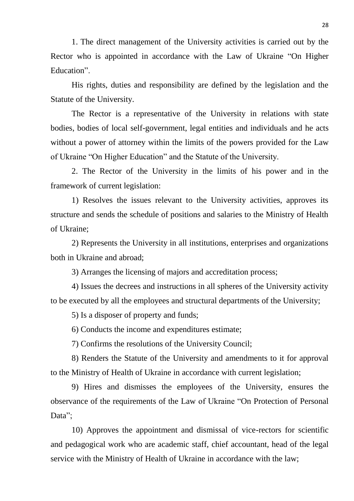1. The direct management of the University activities is carried out by the Rector who is appointed in accordance with the Law of Ukraine "On Higher Education".

His rights, duties and responsibility are defined by the legislation and the Statute of the University.

The Rector is a representative of the University in relations with state bodies, bodies of local self-government, legal entities and individuals and he acts without a power of attorney within the limits of the powers provided for the Law of Ukraine "On Higher Education" and the Statute of the University.

2. The Rector of the University in the limits of his power and in the framework of current legislation:

1) Resolves the issues relevant to the University activities, approves its structure and sends the schedule of positions and salaries to the Ministry of Health of Ukraine;

2) Represents the University in all institutions, enterprises and organizations both in Ukraine and abroad;

3) Arranges the licensing of majors and accreditation process;

4) Issues the decrees and instructions in all spheres of the University activity to be executed by all the employees and structural departments of the University;

5) Is a disposer of property and funds;

6) Conducts the income and expenditures estimate;

7) Confirms the resolutions of the University Council;

8) Renders the Statute of the University and amendments to it for approval to the Ministry of Health of Ukraine in accordance with current legislation;

9) Hires and dismisses the employees of the University, ensures the observance of the requirements of the Law of Ukraine "On Protection of Personal Data":

10) Approves the appointment and dismissal of vice-rectors for scientific and pedagogical work who are academic staff, chief accountant, head of the legal service with the Ministry of Health of Ukraine in accordance with the law;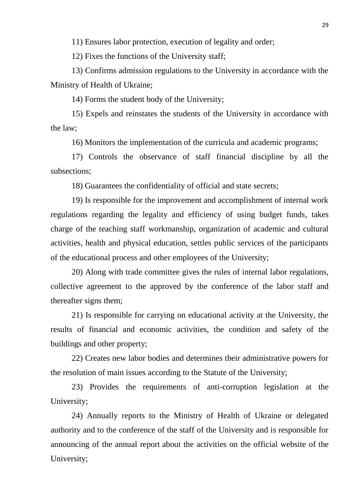11) Ensures labor protection, execution of legality and order;

12) Fixes the functions of the University staff;

13) Confirms admission regulations to the University in accordance with the Ministry of Health of Ukraine;

14) Forms the student body of the University;

15) Expels and reinstates the students of the University in accordance with the law;

16) Monitors the implementation of the curricula and academic programs;

17) Controls the observance of staff financial discipline by all the subsections;

18) Guarantees the confidentiality of official and state secrets;

19) Is responsible for the improvement and accomplishment of internal work regulations regarding the legality and efficiency of using budget funds, takes charge of the teaching staff workmanship, organization of academic and cultural activities, health and physical education, settles public services of the participants of the educational process and other employees of the University;

20) Along with trade committee gives the rules of internal labor regulations, collective agreement to the approved by the conference of the labor staff and thereafter signs them;

21) Is responsible for carrying on educational activity at the University, the results of financial and economic activities, the condition and safety of the buildings and other property;

22) Creates new labor bodies and determines their administrative powers for the resolution of main issues according to the Statute of the University;

23) Provides the requirements of anti-corruption legislation at the University;

24) Annually reports to the Ministry of Health of Ukraine or delegated authority and to the conference of the staff of the University and is responsible for announcing of the annual report about the activities on the official website of the University;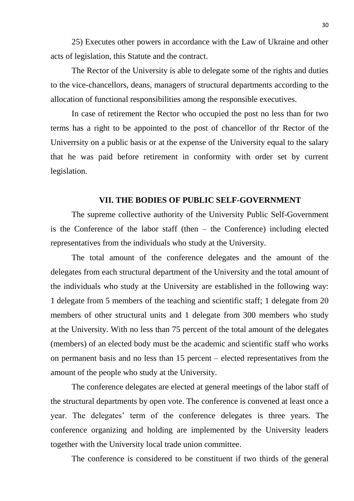25) Executes other powers in accordance with the Law of Ukraine and other acts of legislation, this Statute and the contract.

The Rector of the University is able to delegate some of the rights and duties to the vice-chancellors, deans, managers of structural departments according to the allocation of functional responsibilities among the responsible executives.

In case of retirement the Rector who occupied the post no less than for two terms has a right to be appointed to the post of chancellor of thr Rector of the Univerrsity on a public basis or at the expense of the University equal to the salary that he was paid before retirement in conformity with order set by current legislation.

#### **VII. THE BODIES OF PUBLIC SELF-GOVERNMENT**

The supreme collective authority of the University Public Self-Government is the Conference of the labor staff (then – the Conference) including elected representatives from the individuals who study at the University.

The total amount of the conference delegates and the amount of the delegates from each structural department of the University and the total amount of the individuals who study at the University are established in the following way: 1 delegate from 5 members of the teaching and scientific staff; 1 delegate from 20 members of other structural units and 1 delegate from 300 members who study at the University. With no less than 75 percent of the total amount of the delegates (members) of an elected body must be the academic and scientific staff who works on permanent basis and no less than 15 percent – elected representatives from the amount of the people who study at the University.

The conference delegates are elected at general meetings of the labor staff of the structural departments by open vote. The conference is convened at least once a year. The delegates' term of the conference delegates is three years. The conference organizing and holding are implemented by the University leaders together with the University local trade union committee.

The conference is considered to be constituent if two thirds of the general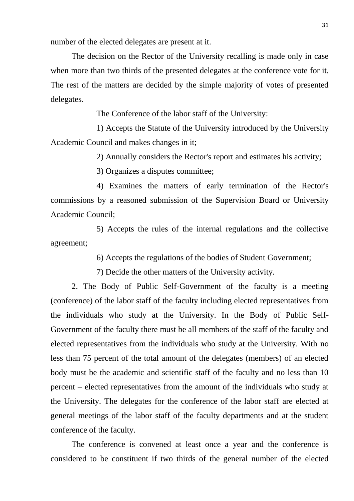number of the elected delegates are present at it.

The decision on the Rector of the University recalling is made only in case when more than two thirds of the presented delegates at the conference vote for it. The rest of the matters are decided by the simple majority of votes of presented delegates.

The Conference of the labor staff of the University:

1) Accepts the Statute of the University introduced by the University Academic Council and makes changes in it;

2) Annually considers the Rector's report and estimates his activity;

3) Organizes a disputes committee;

4) Examines the matters of early termination of the Rector's commissions by a reasoned submission of the Supervision Board or University Academic Council;

5) Accepts the rules of the internal regulations and the collective agreement;

6) Accepts the regulations of the bodies of Student Government;

7) Decide the other matters of the University activity.

2. The Body of Public Self-Government of the faculty is a meeting (conference) of the labor staff of the faculty including elected representatives from the individuals who study at the University. In the Body of Public Self-Government of the faculty there must be all members of the staff of the faculty and elected representatives from the individuals who study at the University. With no less than 75 percent of the total amount of the delegates (members) of an elected body must be the academic and scientific staff of the faculty and no less than 10 percent – elected representatives from the amount of the individuals who study at the University. The delegates for the conference of the labor staff are elected at general meetings of the labor staff of the faculty departments and at the student conference of the faculty.

The conference is convened at least once a year and the conference is considered to be constituent if two thirds of the general number of the elected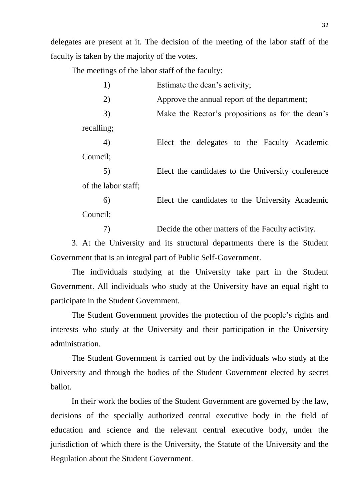delegates are present at it. The decision of the meeting of the labor staff of the faculty is taken by the majority of the votes.

The meetings of the labor staff of the faculty:

| 1)                  | Estimate the dean's activity;                     |
|---------------------|---------------------------------------------------|
| 2)                  | Approve the annual report of the department;      |
| 3)                  | Make the Rector's propositions as for the dean's  |
| recalling;          |                                                   |
| 4)                  | Elect the delegates to the Faculty Academic       |
| Council;            |                                                   |
| 5)                  | Elect the candidates to the University conference |
| of the labor staff; |                                                   |
| 6)                  | Elect the candidates to the University Academic   |
| Council;            |                                                   |
| 7)                  | Decide the other matters of the Faculty activity. |

3. At the University and its structural departments there is the Student Government that is an integral part of Public Self-Government.

The individuals studying at the University take part in the Student Government. All individuals who study at the University have an equal right to participate in the Student Government.

The Student Government provides the protection of the people's rights and interests who study at the University and their participation in the University administration.

The Student Government is carried out by the individuals who study at the University and through the bodies of the Student Government elected by secret ballot.

In their work the bodies of the Student Government are governed by the law, decisions of the specially authorized central executive body in the field of education and science and the relevant central executive body, under the jurisdiction of which there is the University, the Statute of the University and the Regulation about the Student Government.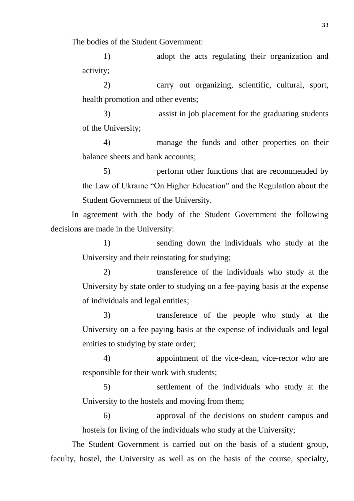The bodies of the Student Government:

1) adopt the acts regulating their organization and activity;

2) carry out organizing, scientific, cultural, sport, health promotion and other events;

3) assist in job placement for the graduating students of the University;

4) manage the funds and other properties on their balance sheets and bank accounts;

5) perform other functions that are recommended by the Law of Ukraine "On Higher Education" and the Regulation about the Student Government of the University.

In agreement with the body of the Student Government the following decisions are made in the University:

> 1) sending down the individuals who study at the University and their reinstating for studying;

> 2) transference of the individuals who study at the University by state order to studying on a fee-paying basis at the expense of individuals and legal entities;

> 3) transference of the people who study at the University on a fee-paying basis at the expense of individuals and legal entities to studying by state order;

> 4) appointment of the vice-dean, vice-rector who are responsible for their work with students;

> 5) settlement of the individuals who study at the University to the hostels and moving from them;

> 6) approval of the decisions on student campus and hostels for living of the individuals who study at the University;

The Student Government is carried out on the basis of a student group, faculty, hostel, the University as well as on the basis of the course, specialty,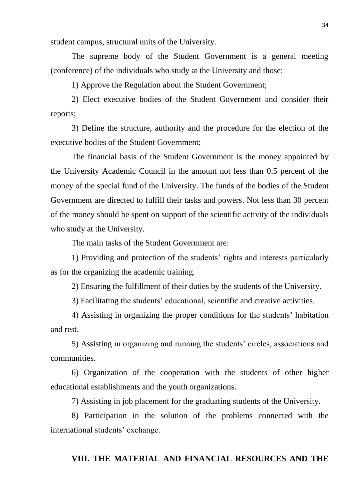student campus, structural units of the University.

The supreme body of the Student Government is a general meeting (conference) of the individuals who study at the University and those:

1) Approve the Regulation about the Student Government;

2) Elect executive bodies of the Student Government and consider their reports;

3) Define the structure, authority and the procedure for the election of the executive bodies of the Student Government;

The financial basis of the Student Government is the money appointed by the University Academic Council in the amount not less than 0.5 percent of the money of the special fund of the University. The funds of the bodies of the Student Government are directed to fulfill their tasks and powers. Not less than 30 percent of the money should be spent on support of the scientific activity of the individuals who study at the University.

The main tasks of the Student Government are:

1) Providing and protection of the students' rights and interests particularly as for the organizing the academic training.

2) Ensuring the fulfillment of their duties by the students of the University.

3) Facilitating the students' educational, scientific and creative activities.

4) Assisting in organizing the proper conditions for the students' habitation and rest.

5) Assisting in organizing and running the students' circles, associations and communities.

6) Organization of the cooperation with the students of other higher educational establishments and the youth organizations.

7) Assisting in job placement for the graduating students of the University.

8) Participation in the solution of the problems connected with the international students' exchange.

#### **VIII. THE MATERIAL AND FINANCIAL RESOURCES AND THE**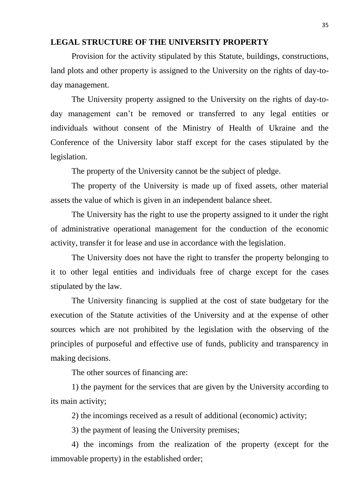#### **LEGAL STRUCTURE OF THE UNIVERSITY PROPERTY**

Provision for the activity stipulated by this Statute, buildings, constructions, land plots and other property is assigned to the University on the rights of day-today management.

The University property assigned to the University on the rights of day-today management can't be removed or transferred to any legal entities or individuals without consent of the Ministry of Health of Ukraine and the Conference of the University labor staff except for the cases stipulated by the legislation.

The property of the University cannot be the subject of pledge.

The property of the University is made up of fixed assets, other material assets the value of which is given in an independent balance sheet.

The University has the right to use the property assigned to it under the right of administrative operational management for the conduction of the economic activity, transfer it for lease and use in accordance with the legislation.

The University does not have the right to transfer the property belonging to it to other legal entities and individuals free of charge except for the cases stipulated by the law.

The University financing is supplied at the cost of state budgetary for the execution of the Statute activities of the University and at the expense of other sources which are not prohibited by the legislation with the observing of the principles of purposeful and effective use of funds, publicity and transparency in making decisions.

The other sources of financing are:

1) the payment for the services that are given by the University according to its main activity;

2) the incomings received as a result of additional (economic) activity;

3) the payment of leasing the University premises;

4) the incomings from the realization of the property (except for the immovable property) in the established order;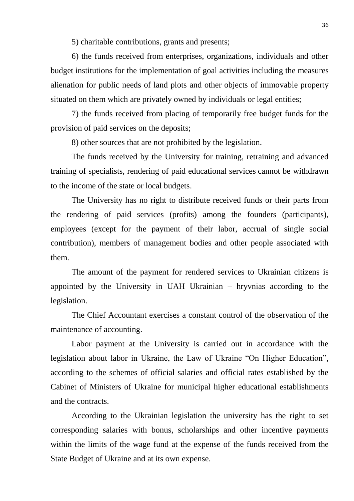5) charitable contributions, grants and presents;

6) the funds received from enterprises, organizations, individuals and other budget institutions for the implementation of goal activities including the measures alienation for public needs of land plots and other objects of immovable property situated on them which are privately owned by individuals or legal entities;

7) the funds received from placing of temporarily free budget funds for the provision of paid services on the deposits;

8) other sources that are not prohibited by the legislation.

The funds received by the University for training, retraining and advanced training of specialists, rendering of paid educational services cannot be withdrawn to the income of the state or local budgets.

The University has no right to distribute received funds or their parts from the rendering of paid services (profits) among the founders (participants), employees (except for the payment of their labor, accrual of single social contribution), members of management bodies and other people associated with them.

The amount of the payment for rendered services to Ukrainian citizens is appointed by the University in UAH Ukrainian – hryvnias according to the legislation.

The Chief Accountant exercises a constant control of the observation of the maintenance of accounting.

Labor payment at the University is carried out in accordance with the legislation about labor in Ukraine, the Law of Ukraine "On Higher Education", according to the schemes of official salaries and official rates established by the Cabinet of Ministers of Ukraine for municipal higher educational establishments and the contracts.

According to the Ukrainian legislation the university has the right to set corresponding salaries with bonus, scholarships and other incentive payments within the limits of the wage fund at the expense of the funds received from the State Budget of Ukraine and at its own expense.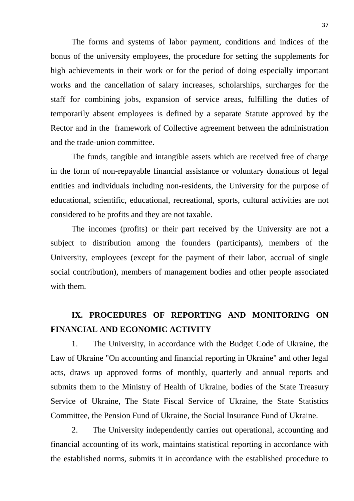The forms and systems of labor payment, conditions and indices of the bonus of the university employees, the procedure for setting the supplements for high achievements in their work or for the period of doing especially important works and the cancellation of salary increases, scholarships, surcharges for the staff for combining jobs, expansion of service areas, fulfilling the duties of temporarily absent employees is defined by a separate Statute approved by the Rector and in the framework of Collective agreement between the administration and the trade-union committee.

The funds, tangible and intangible assets which are received free of charge in the form of non-repayable financial assistance or voluntary donations of legal entities and individuals including non-residents, the University for the purpose of educational, scientific, educational, recreational, sports, cultural activities are not considered to be profits and they are not taxable.

The incomes (profits) or their part received by the University are not a subject to distribution among the founders (participants), members of the University, employees (except for the payment of their labor, accrual of single social contribution), members of management bodies and other people associated with them.

## **IX. PROCEDURES OF REPORTING AND MONITORING ON FINANCIAL AND ECONOMIC ACTIVITY**

1. The University, in accordance with the Budget Code of Ukraine, the Law of Ukraine "On accounting and financial reporting in Ukraine" and other legal acts, draws up approved forms of monthly, quarterly and annual reports and submits them to the Ministry of Health of Ukraine, bodies of the State Treasury Service of Ukraine, The State Fiscal Service of Ukraine, the State Statistics Committee, the Pension Fund of Ukraine, the Social Insurance Fund of Ukraine.

2. The University independently carries out operational, accounting and financial accounting of its work, maintains statistical reporting in accordance with the established norms, submits it in accordance with the established procedure to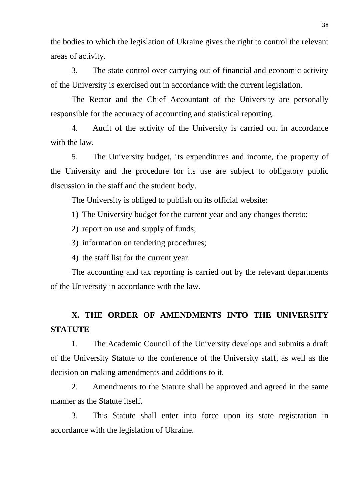the bodies to which the legislation of Ukraine gives the right to control the relevant areas of activity.

3. The state control over carrying out of financial and economic activity of the University is exercised out in accordance with the current legislation.

The Rector and the Chief Accountant of the University are personally responsible for the accuracy of accounting and statistical reporting.

4. Audit of the activity of the University is carried out in accordance with the law.

5. The University budget, its expenditures and income, the property of the University and the procedure for its use are subject to obligatory public discussion in the staff and the student body.

The University is obliged to publish on its official website:

1) The University budget for the current year and any changes thereto;

2) report on use and supply of funds;

3) information on tendering procedures;

4) the staff list for the current year.

The accounting and tax reporting is carried out by the relevant departments of the University in accordance with the law.

## **X. THE ORDER OF AMENDMENTS INTO THE UNIVERSITY STATUTE**

1. The Academic Council of the University develops and submits a draft of the University Statute to the conference of the University staff, as well as the decision on making amendments and additions to it.

2. Amendments to the Statute shall be approved and agreed in the same manner as the Statute itself.

3. This Statute shall enter into force upon its state registration in accordance with the legislation of Ukraine.